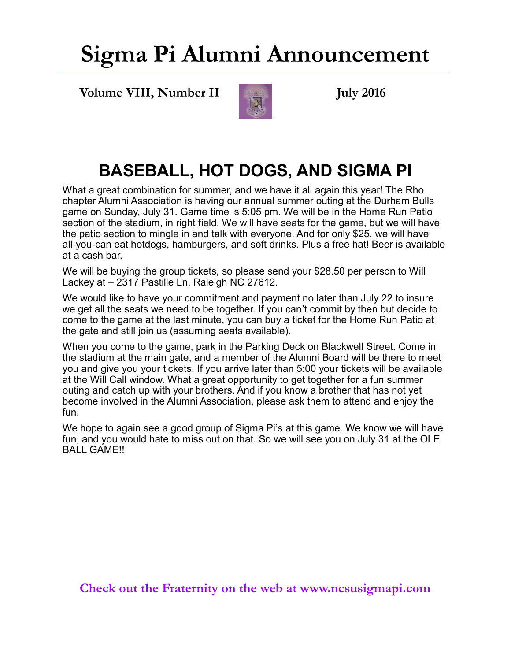## **Sigma Pi Alumni Announcement**

**Volume VIII, Number II July 2016** 



#### **BASEBALL, HOT DOGS, AND SIGMA PI**

What a great combination for summer, and we have it all again this year! The Rho chapter Alumni Association is having our annual summer outing at the Durham Bulls game on Sunday, July 31. Game time is 5:05 pm. We will be in the Home Run Patio section of the stadium, in right field. We will have seats for the game, but we will have the patio section to mingle in and talk with everyone. And for only \$25, we will have all-you-can eat hotdogs, hamburgers, and soft drinks. Plus a free hat! Beer is available at a cash bar.

We will be buying the group tickets, so please send your \$28.50 per person to Will Lackey at – 2317 Pastille Ln, Raleigh NC 27612.

We would like to have your commitment and payment no later than July 22 to insure we get all the seats we need to be together. If you can't commit by then but decide to come to the game at the last minute, you can buy a ticket for the Home Run Patio at the gate and still join us (assuming seats available).

When you come to the game, park in the Parking Deck on Blackwell Street. Come in the stadium at the main gate, and a member of the Alumni Board will be there to meet you and give you your tickets. If you arrive later than 5:00 your tickets will be available at the Will Call window. What a great opportunity to get together for a fun summer outing and catch up with your brothers. And if you know a brother that has not yet become involved in the Alumni Association, please ask them to attend and enjoy the fun.

We hope to again see a good group of Sigma Pi's at this game. We know we will have fun, and you would hate to miss out on that. So we will see you on July 31 at the OLE BALL GAME!!

**Check out the Fraternity on the web at www.ncsusigmapi.com**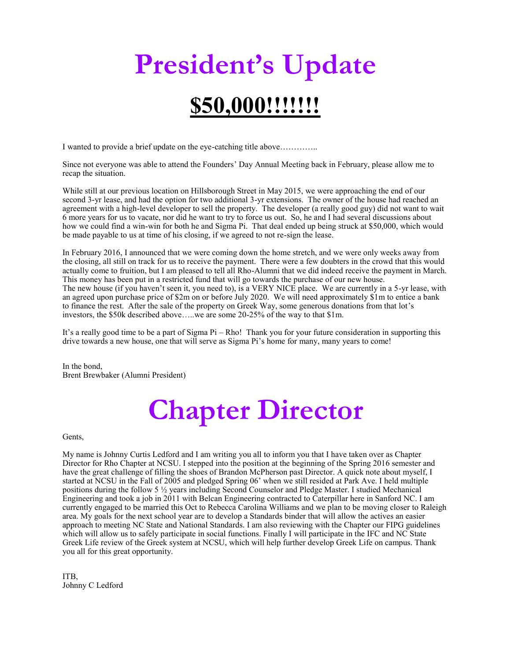# **President's Update \$50,000!!!!!!!**

I wanted to provide a brief update on the eye-catching title above…………..

Since not everyone was able to attend the Founders' Day Annual Meeting back in February, please allow me to recap the situation.

While still at our previous location on Hillsborough Street in May 2015, we were approaching the end of our second 3-yr lease, and had the option for two additional 3-yr extensions. The owner of the house had reached an agreement with a high-level developer to sell the property. The developer (a really good guy) did not want to wait 6 more years for us to vacate, nor did he want to try to force us out. So, he and I had several discussions about how we could find a win-win for both he and Sigma Pi. That deal ended up being struck at \$50,000, which would be made payable to us at time of his closing, if we agreed to not re-sign the lease.

In February 2016, I announced that we were coming down the home stretch, and we were only weeks away from the closing, all still on track for us to receive the payment. There were a few doubters in the crowd that this would actually come to fruition, but I am pleased to tell all Rho-Alumni that we did indeed receive the payment in March. This money has been put in a restricted fund that will go towards the purchase of our new house. The new house (if you haven't seen it, you need to), is a VERY NICE place. We are currently in a 5-yr lease, with an agreed upon purchase price of \$2m on or before July 2020. We will need approximately \$1m to entice a bank to finance the rest. After the sale of the property on Greek Way, some generous donations from that lot's investors, the \$50k described above…..we are some 20-25% of the way to that \$1m.

It's a really good time to be a part of Sigma Pi – Rho! Thank you for your future consideration in supporting this drive towards a new house, one that will serve as Sigma Pi's home for many, many years to come!

In the bond, Brent Brewbaker (Alumni President)

# **Chapter Director**

Gents,

My name is Johnny Curtis Ledford and I am writing you all to inform you that I have taken over as Chapter Director for Rho Chapter at NCSU. I stepped into the position at the beginning of the Spring 2016 semester and have the great challenge of filling the shoes of Brandon McPherson past Director. A quick note about myself, I started at NCSU in the Fall of 2005 and pledged Spring 06' when we still resided at Park Ave. I held multiple positions during the follow 5 ½ years including Second Counselor and Pledge Master. I studied Mechanical Engineering and took a job in 2011 with Belcan Engineering contracted to Caterpillar here in Sanford NC. I am currently engaged to be married this Oct to Rebecca Carolina Williams and we plan to be moving closer to Raleigh area. My goals for the next school year are to develop a Standards binder that will allow the actives an easier approach to meeting NC State and National Standards. I am also reviewing with the Chapter our FIPG guidelines which will allow us to safely participate in social functions. Finally I will participate in the IFC and NC State Greek Life review of the Greek system at NCSU, which will help further develop Greek Life on campus. Thank you all for this great opportunity.

ITB, Johnny C Ledford